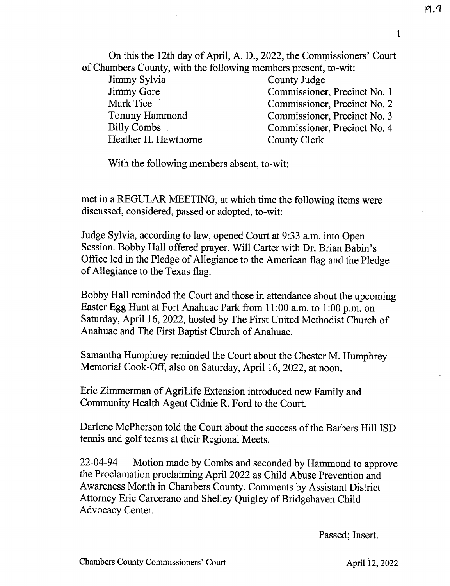On this the 12th day of April, A. D., 2022, the Commissioners' Court of Chambers County, with the following members present, to-wit: Jimmy Sylvia Jimmy Gore Mark Tice Tommy Hammond County Judge Commissioner, Precinct No. 1 Commissioner, Precinct No. 2 Commissioner, Precinct No. 3

Billy Combs Heather H. Hawthorne Commissioner, Precinct No. 4 County Clerk

With the following members absent, to-wit:

met in a REGULAR MEETING, at which time the following items were discussed, considered, passed or adopted, to-wit:

Judge Sylvia, according to law, opened Court at 9:33 a.m. into Open Session. Bobby Hall offered prayer. Will Carter with Dr. Brian Babin's Office led in the Pledge of Allegiance to the American flag and the Pledge of Allegiance to the Texas flag.

Bobby Hall reminded the Court and those in attendance about the upcoming Easter Egg Hunt at Fort Anahuac Park from 11:00 a.m. to 1:00 p.m. on Saturday, April 16, 2022, hosted by The First United Methodist Church of Anahuac and The First Baptist Church of Anahuac.

Samantha Humphrey reminded the Court about the Chester M. Humphrey Memorial Cook-Off, also on Saturday, April 16, 2022, at noon.

Eric Zimmerman of AgriLife Extension introduced new Family and Community Health Agent Cidnie R. Ford to the Court.

Darlene McPherson told the Court about the success of the Barbers Hill ISD tennis and golf teams at their Regional Meets.

22-04-94 Motion made by Combs and seconded by Hammond to approve the Proclamation proclaiming April 2022 as Child Abuse Prevention and Awareness Month in Chambers County. Comments by Assistant District Attorney Eric Carcerano and Shelley Quigley of Bridgehaven Child Advocacy Center.

Passed; Insert.

1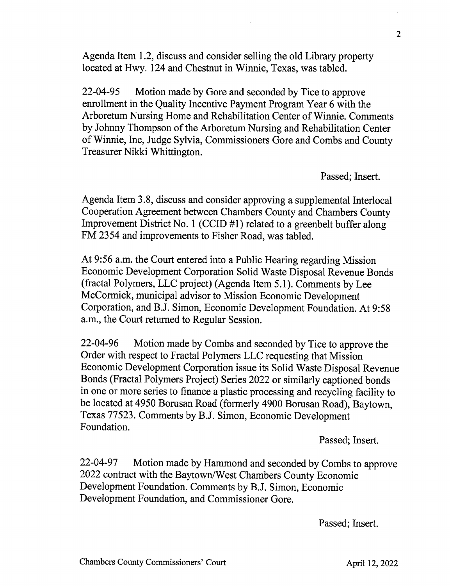Agenda Item 1.2, discuss and consider selling the old Library property located at Hwy. 124 and Chestnut in Winnie, Texas, was tabled.

22-04-95 Motion made by Gore and seconded by Tice to approve enrollment in the Quality Incentive Payment Program Year 6 with the Arboretum Nursing Home and Rehabilitation Center of Winnie. Comments by Johnny Thompson of the Arboretum Nursing and Rehabilitation Center of Winnie, Inc, Judge Sylvia, Commissioners Gore and Combs and County Treasurer Nikki Whittington.

Passed; Insert.

Agenda Item 3.8, discuss and consider approving a supplemental Interlocal Cooperation Agreement between Chambers County and Chambers County Improvement District No. 1 (CCID #1) related to a greenbelt buffer along FM 2354 and improvements to Fisher Road, was tabled.

At 9:56 a.m. the Court entered into a Public Hearing regarding Mission Economic Development Corporation Solid Waste Disposal Revenue Bonds (fractal Polymers, LLC project) (Agenda Item 5.1). Comments by Lee McCormick, municipal advisor to Mission Economic Development Corporation, and B.J. Simon, Economic Development Foundation. At 9:58 a.m., the Court returned to Regular Session.

22-04-96 Motion made by Combs and seconded by Tice to approve the Order with respect to Fractal Polymers LLC requesting that Mission Economic Development Corporation issue its Solid Waste Disposal Revenue Bonds (Fractal Polymers Project) Series 2022 or similarly captioned bonds in one or more series to finance a plastic processing and recycling facility to be located at 4950 Borusan Road (formerly 4900 Borusan Road), Baytown, Texas 77523. Comments by B.J. Simon, Economic Development Foundation.

Passed; Insert.

22-04-97 Motion made by Hammond and seconded by Combs to approve 2022 contract with the Baytown/West Chambers County Economic Development Foundation. Comments by B.J. Simon, Economic Development Foundation, and Commissioner Gore.

Passed; Insert.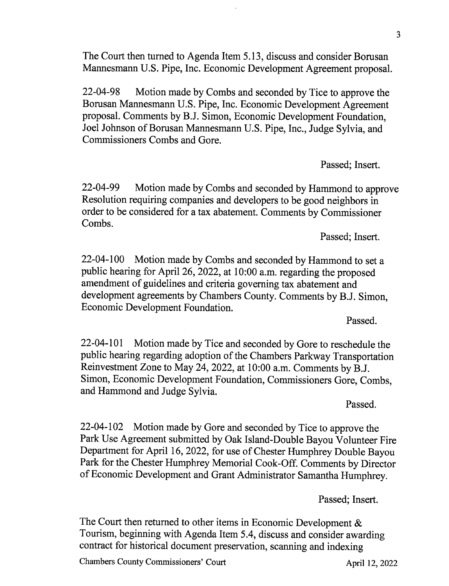The Court then turned to Agenda Item 5.13, discuss and consider Borusan Mannesmann U.S. Pipe, Inc. Economic Development Agreement proposal.

22-04-98 Motion made by Combs and seconded by Tice to approve the Borusan Mannesmann U.S. Pipe, Inc. Economic Development Agreement proposal. Comments by B.J. Simon, Economic Development Foundation, Joel Johnson of Borusan Mannesmann U.S. Pipe, Inc., Judge Sylvia, and Commissioners Combs and Gore.

Passed; Insert.

22-04-99 Motion made by Combs and seconded by Hammond to approve Resolution requiring companies and developers to be good neighbors in order to be considered for a tax abatement. Comments by Commissioner Combs.

Passed; Insert.

22-04-100 Motion made by Combs and seconded by Hammond to set a public hearing for April 26, 2022, at 10:00 a.m. regarding the proposed amendment of guidelines and criteria governing tax abatement and development agreements by Chambers County. Comments by B.J. Simon, Economic Development Foundation.

Passed.

22-04-101 Motion made by Tice and seconded by Gore to reschedule the public hearing regarding adoption of the Chambers Parkway Transportation Reinvestment Zone to May 24, 2022, at 10:00 a.m. Comments by B.J. Simon, Economic Development Foundation, Commissioners Gore, Combs, and Hammond and Judge Sylvia.

Passed.

22-04-102 Motion made by Gore and seconded by Tice to approve the Park Use Agreement submitted by Oak Island-Double Bayou Volunteer Fire Department for April 16, 2022, for use of Chester Humphrey Double Bayou Park for the Chester Humphrey Memorial Cook-Off. Comments by Director of Economic Development and Grant Administrator Samantha Humphrey.

Passed; Insert.

The Court then returned to other items in Economic Development & Tourism, beginning with Agenda Item 5.4, discuss and consider awarding contract for historical document preservation, scanning and indexing

Chambers County Commissioners' Court April 12, 2022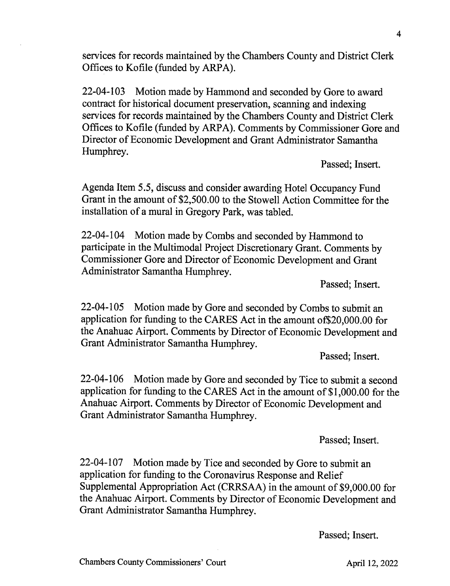services for records maintained by the Chambers County and District Clerk Offices to Kofile (funded by ARPA).

22-04-103 Motion made by Hammond and seconded by Gore to award contract for historical document preservation, scanning and indexing services for records maintained by the Chambers County and District Clerk Offices to Kofile (funded by ARPA). Comments by Commissioner Gore and Director of Economic Development and Grant Administrator Samantha Humphrey.

Passed; Insert.

Agenda Item 5.5, discuss and consider awarding Hotel Occupancy Fund Grant in the amount of \$2,500.00 to the Stowell Action Committee for the installation of a mural in Gregory Park, was tabled.

22-04-104 Motion made by Combs and seconded by Hammond to participate in the Multimodal Project Discretionary Grant. Comments by Commissioner Gore and Director of Economic Development and Grant Administrator Samantha Humphrey.

Passed; Insert.

22-04-105 Motion made by Gore and seconded by Combs to submit an application for funding to the CARES Act in the amount of \$20,000.00 for the Anahuac Airport. Comments by Director of Economic Development and Grant Administrator Samantha Humphrey.

Passed; Insert.

22-04-106 Motion made by Gore and seconded by Tice to submit a second application for funding to the CARES Act in the amount of \$1,000.00 for the Anahuac Airport. Comments by Director of Economic Development and Grant Administrator Samantha Humphrey.

Passed; Insert.

22-04-107 Motion made by Tice and seconded by Gore to submit an application for funding to the Coronavirus Response and Relief Supplemental Appropriation Act (CRRSAA) in the amount of \$9,000.00 for the Anahuac Airport. Comments by Director of Economic Development and Grant Administrator Samantha Humphrey.

Passed; Insert.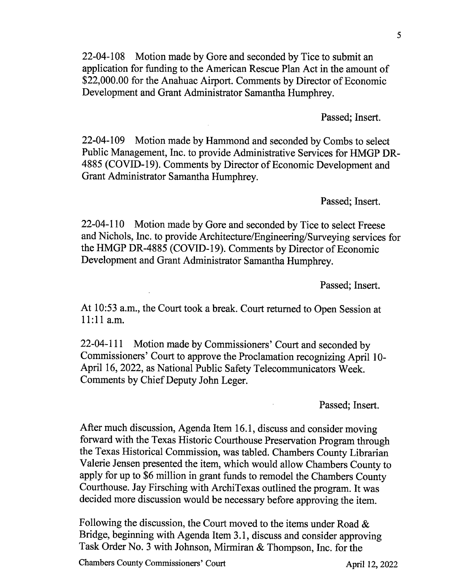5

22-04-108 Motion made by Gore and seconded by Tice to submit an application for funding to the American Rescue Plan Act in the amount of \$22,000.00 for the Anahuac Airport. Comments by Director of Economic Development and Grant Administrator Samantha Humphrey.

Passed; Insert.

22-04-109 Motion made by Hammond and seconded by Combs to select Public Management, Inc. to provide Administrative Services for HMGP DR-4885 (COVID-19). Comments by Director of Economic Development and Grant Administrator Samantha Humphrey.

Passed; Insert.

22-04-110 Motion made by Gore and seconded by Tice to select Freese and Nichols, Inc. to provide Architecture/Engineering/Surveying services for the HMGP DR-4885 (COVID-19). Comments by Director of Economic Development and Grant Administrator Samantha Humphrey.

Passed; Insert.

At 10:53 a.m., the Court took a break. Court returned to Open Session at 11:11 a.m.

22-04-111 Motion made by Commissioners' Court and seconded by Commissioners' Court to approve the Proclamation recognizing April 10- April 16, 2022, as National Public Safety Telecommunicators Week. Comments by Chief Deputy John Leger.

Passed; Insert.

After much discussion, Agenda Item 16.1, discuss and consider moving forward with the Texas Historic Courthouse Preservation Program through the Texas Historical Commission, was tabled. Chambers County Librarian Valerie Jensen presented the item, which would allow Chambers County to apply for up to \$6 million in grant funds to remodel the Chambers County Courthouse. Jay Firsching with ArchiTexas outlined the program. It was decided more discussion would be necessary before approving the item.

Following the discussion, the Court moved to the items under Road & Bridge, beginning with Agenda Item 3.1, discuss and consider approving Task Order No. 3 with Johnson, Mirmiran & Thompson, Inc. for the

Chambers County Commissioners' Court April 12, 2022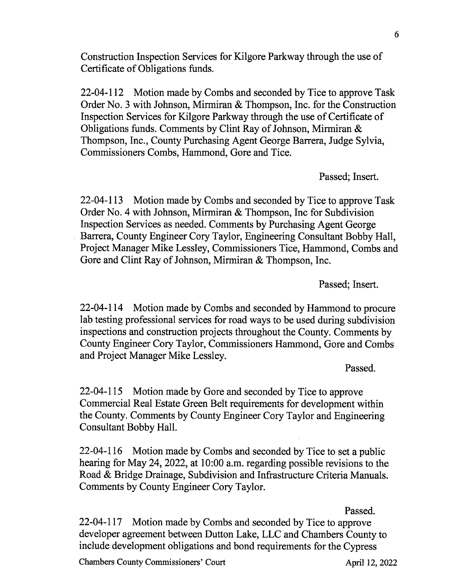Construction Inspection Services for Kilgore Parkway through the use of Certificate of Obligations funds.

22-04-112 Motion made by Combs and seconded by Tice to approve Task Order No. 3 with Johnson, Mirmiran & Thompson, Inc. for the Construction Inspection Services for Kilgore Parkway through the use of Certificate of Obligations funds. Comments by Clint Ray of Johnson, Mirmiran & Thompson, Inc., County Purchasing Agent George Barrera, Judge Sylvia, Commissioners Combs, Hammond, Gore and Tice.

Passed; Insert.

22-04-113 Motion made by Combs and seconded by Tice to approve Task Order No. 4 with Johnson, Mirmiran & Thompson, Inc for Subdivision Inspection Services as needed. Comments by Purchasing Agent George Barrera, County Engineer Cory Taylor, Engineering Consultant Bobby Hall, Project Manager Mike Lessley, Commissioners Tice, Hammond, Combs and Gore and Clint Ray of Johnson, Mirmiran & Thompson, Inc.

Passed; Insert.

22-04-114 Motion made by Combs and seconded by Hammond to procure lab testing professional services for road ways to be used during subdivision inspections and construction projects throughout the County. Comments by County Engineer Cory Taylor, Commissioners Hammond, Gore and Combs and Project Manager Mike Lessley.

Passed.

22-04-115 Motion made by Gore and seconded by Tice to approve Commercial Real Estate Green Belt requirements for development within the County. Comments by County Engineer Cory Taylor and Engineering Consultant Bobby Hall.

22-04-116 Motion made by Combs and seconded by Tice to set a public hearing for May 24, 2022, at 10:00 a.m. regarding possible revisions to the Road & Bridge Drainage, Subdivision and Infrastructure Criteria Manuals. Comments by County Engineer Cory Taylor.

Passed.

22-04-117 Motion made by Combs and seconded by Tice to approve developer agreement between Dutton Lake, LLC and Chambers County to include development obligations and bond requirements for the Cypress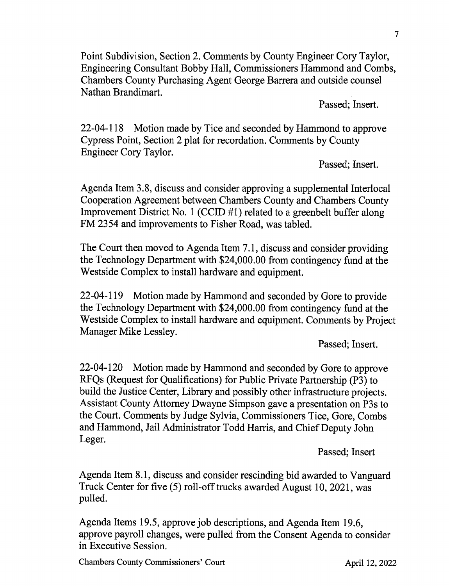Point Subdivision, Section 2. Comments by County Engineer Cory Taylor, Engineering Consultant Bobby Hall, Commissioners Hammond and Combs, Chambers County Purchasing Agent George Barrera and outside counsel Nathan Brandimart.

Passed; Insert.

22-04-118 Motion made by Tice and seconded by Hammond to approve Cypress Point, Section 2 plat for recordation. Comments by County Engineer Cory Taylor.

Passed; Insert.

Agenda Item 3.8, discuss and consider approving a supplemental Interlocal Cooperation Agreement between Chambers County and Chambers County Improvement District No. 1 (CCID #1) related to a greenbelt buffer along FM 2354 and improvements to Fisher Road, was tabled.

The Court then moved to Agenda Item 7.1, discuss and consider providing the Technology Department with \$24,000.00 from contingency fund at the Westside Complex to install hardware and equipment.

22-04-119 Motion made by Hammond and seconded by Gore to provide the Technology Department with \$24,000.00 from contingency fund at the Westside Complex to install hardware and equipment. Comments by Project Manager Mike Lessley.

Passed; Insert.

22-04-120 Motion made by Hammond and seconded by Gore to approve RFQs (Request for Qualifications) for Public Private Partnership (P3) to build the Justice Center, Library and possibly other infrastructure projects. Assistant County Attorney Dwayne Simpson gave a presentation on P3s to the Court. Comments by Judge Sylvia, Commissioners Tice, Gore, Combs and Hammond, Jail Administrator Todd Harris, and Chief Deputy John Leger.

Passed; Insert

Agenda Item 8.1, discuss and consider rescinding bid awarded to Vanguard Truck Center for five (5) roll-off trucks awarded August 10, 2021, was pulled.

Agenda Items 19.5, approve job descriptions, and Agenda Item 19.6, approve payroll changes, were pulled from the Consent Agenda to consider in Executive Session.

Chambers County Commissioners' Court April 12, 2022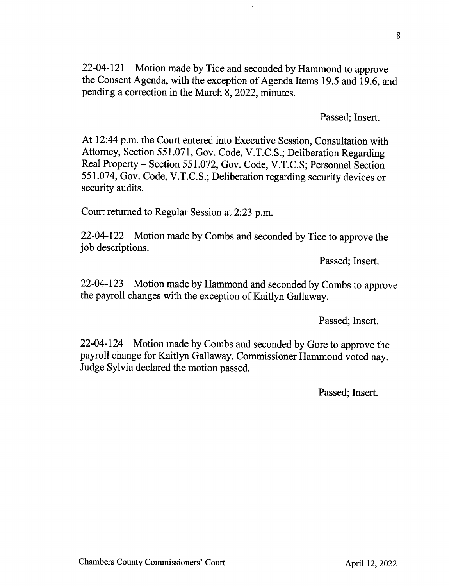22-04-121 Motion made by Tice and seconded by Hammond to approve the Consent Agenda, with the exception of Agenda Items 19.5 and 19.6, and pending a correction in the March 8, 2022, minutes.

Passed; Insert.

At 12:44 p.m. the Court entered into Executive Session, Consultation with Attorney, Section 551.071, Gov. Code, V.T.C.S.; Deliberation Regarding Real Property — Section 551.072, Gov. Code, V.T.C.S; Personnel Section 551.074, Gov. Code, V.T.C.S.; Deliberation regarding security devices or security audits.

Court returned to Regular Session at 2:23 p.m.

22-04-122 Motion made by Combs and seconded by Tice to approve the job descriptions.

Passed; Insert.

22-04-123 Motion made by Hammond and seconded by Combs to approve the payroll changes with the exception of Kaitlyn Gallaway.

Passed; Insert.

22-04-124 Motion made by Combs and seconded by Gore to approve the payroll change for Kaitlyn Gallaway. Commissioner Hammond voted nay. Judge Sylvia declared the motion passed.

Passed; Insert.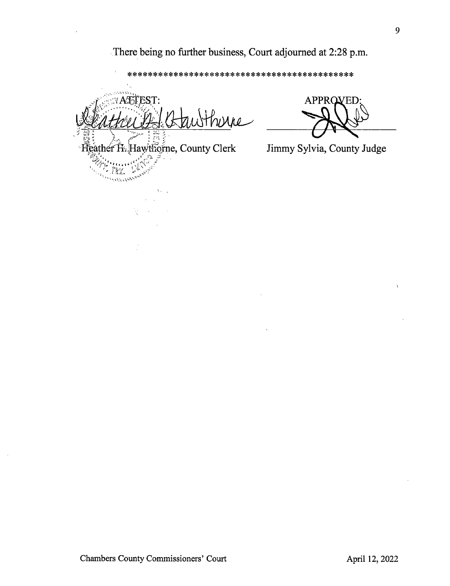## There being no further business, Court adjourned at 2:28 p.m.

\*\*\*\*\*\*\*\*\*\*\*\*\*\*\*\*\*\*\*\*\*\*\*\*\*\*\*\*\*\*\*\*\*\*\*\*\*\*\*\*\*\*\*\*

V ATATEST: urre eather H. Hawthorne, County Clerk - F

**Munistr CONTRACTOR** 

V

APPROVED:

Jimmy Sylvia, County Judge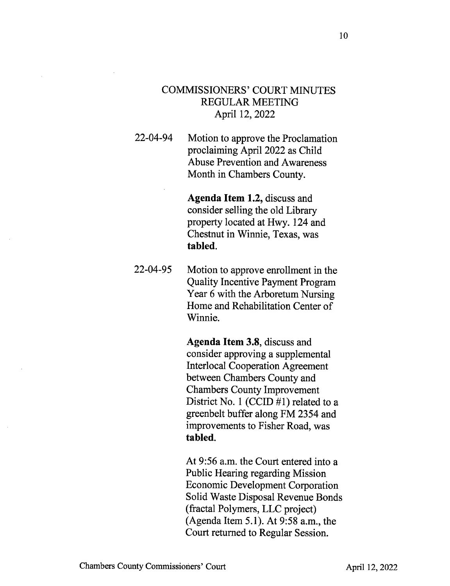## COMMISSIONERS' COURT MINUTES REGULAR MEETING April 12, 2022

22-04-94 Motion to approve the Proclamation proclaiming April 2022 as Child Abuse Prevention and Awareness Month in Chambers County.

> Agenda Item 1.2, discuss and consider selling the old Library property located at Hwy. 124 and Chestnut in Winnie, Texas, was tabled.

22-04-95 Motion to approve enrollment in the Quality Incentive Payment Program Year 6 with the Arboretum Nursing Home and Rehabilitation Center of Winnie.

> Agenda Item 3.8, discuss and consider approving a supplemental Interlocal Cooperation Agreement between Chambers County and Chambers County Improvement District No. 1 (CCID #1) related to a greenbelt buffer along FM 2354 and improvements to Fisher Road, was tabled.

At 9:56 a.m. the Court entered into a Public Hearing regarding Mission Economic Development Corporation Solid Waste Disposal Revenue Bonds (fractal Polymers, LLC project) (Agenda Item 5.1). At 9:58 a.m., the Court returned to Regular Session.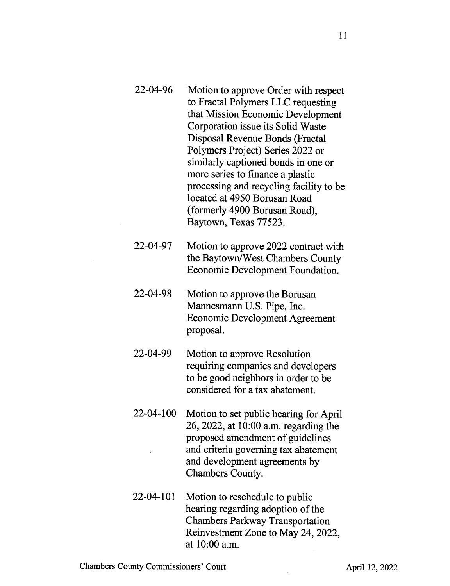- 22-04-96 Motion to approve Order with respect to Fractal Polymers LLC requesting that Mission Economic Development Corporation issue its Solid Waste Disposal Revenue Bonds (Fractal Polymers Project) Series 2022 or similarly captioned bonds in one or more series to finance a plastic processing and recycling facility to be located at 4950 Borusan Road (formerly 4900 Borusan Road), Baytown, Texas 77523.
- 22-04-97 Motion to approve 2022 contract with the Baytown/West Chambers County Economic Development Foundation.
- 22-04-98 Motion to approve the Borusan Mannesmann U.S. Pipe, Inc. Economic Development Agreement proposal.
- 22-04-99 Motion to approve Resolution requiring companies and developers to be good neighbors in order to be considered for a tax abatement.
- 22-04-100 Motion to set public hearing for April 26, 2022, at 10:00 a.m. regarding the proposed amendment of guidelines and criteria governing tax abatement and development agreements by Chambers County.
- 22-04-101 Motion to reschedule to public hearing regarding adoption of the Chambers Parkway Transportation Reinvestment Zone to May 24, 2022, at 10:00 a.m.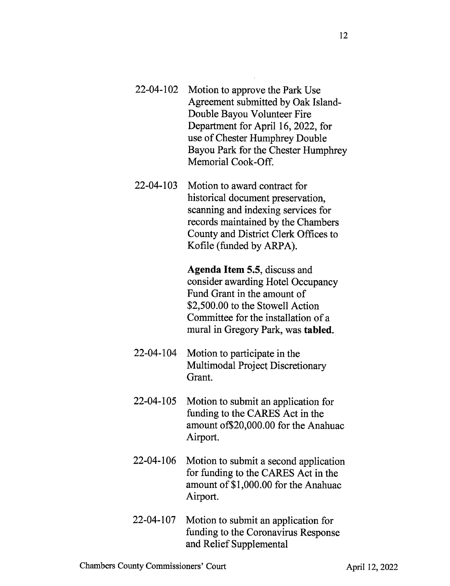- 22-04-102 Motion to approve the Park Use Agreement submitted by Oak Island-Double Bayou Volunteer Fire Department for April 16, 2022, for use of Chester Humphrey Double Bayou Park for the Chester Humphrey
- 22-04-103 Motion to award contract for historical document preservation, scanning and indexing services for records maintained by the Chambers County and District Clerk Offices to Kofile (funded by ARPA).

Memorial Cook-Off.

Agenda Item 5.5, discuss and consider awarding Hotel Occupancy Fund Grant in the amount of \$2,500.00 to the Stowell Action Committee for the installation of a mural in Gregory Park, was tabled.

- 22-04-104 Motion to participate in the Multimodal Project Discretionary Grant.
- 22-04-105 Motion to submit an application for funding to the CARES Act in the amount 0520,000.00 for the Anahuac Airport.
- 22-04-106 Motion to submit a second application for funding to the CARES Act in the amount of \$1,000.00 for the Anahuac Airport.
- 22-04-107 Motion to submit an application for funding to the Coronavirus Response and Relief Supplemental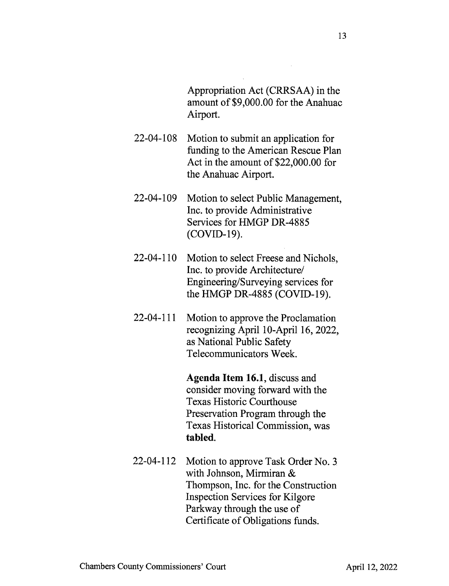Appropriation Act (CRRSAA) in the amount of \$9,000.00 for the Anahuac Airport.

- 22-04-108 Motion to submit an application for funding to the American Rescue Plan Act in the amount of \$22,000.00 for the Anahuac Airport.
- 22-04-109 Motion to select Public Management, Inc. to provide Administrative Services for HMGP DR-4885 (COVID-19).
- 22-04-110 Motion to select Freese and Nichols, Inc. to provide Architecture/ Engineering/Surveying services for the HMGP DR-4885 (COVID-19).
- 22-04-111 Motion to approve the Proclamation recognizing April 10-April 16, 2022, as National Public Safety Telecommunicators Week.

Agenda Item 16.1, discuss and consider moving forward with the Texas Historic Courthouse Preservation Program through the Texas Historical Commission, was tabled.

22-04-112 Motion to approve Task Order No. 3. with Johnson, Mirmiran & Thompson, Inc. for the Construction Inspection Services for Kilgore Parkway through the use of Certificate of Obligations funds.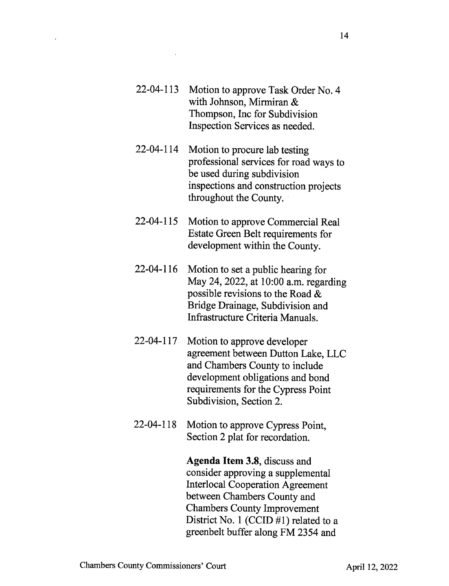- 22-04-113 Motion to approve Task Order No. 4 with Johnson, Mirmiran & Thompson, Inc for Subdivision Inspection Services as needed.
- 22-04-114 Motion to procure lab testing professional services for road ways to be used during subdivision inspections and construction projects throughout the County.
- 22-04-115 Motion to approve Commercial Real Estate Green Belt requirements for development within the County.
- 22-04-116 Motion to set a public hearing for May 24, 2022, at 10:00 a.m. regarding possible revisions to the Road & Bridge Drainage, Subdivision and Infrastructure Criteria Manuals.
- 22-04-117 Motion to approve developer agreement between Dutton Lake, LLC and Chambers County to include development obligations and bond requirements for the Cypress Point Subdivision, Section 2.
- 22-04-118 Motion to approve Cypress Point, Section 2 plat for recordation.

Agenda Item 3.8, discuss and consider approving a supplemental Interlocal Cooperation Agreement between Chambers County and Chambers County Improvement District No. 1 (CCID #1) related to a greenbelt buffer along FM 2354 and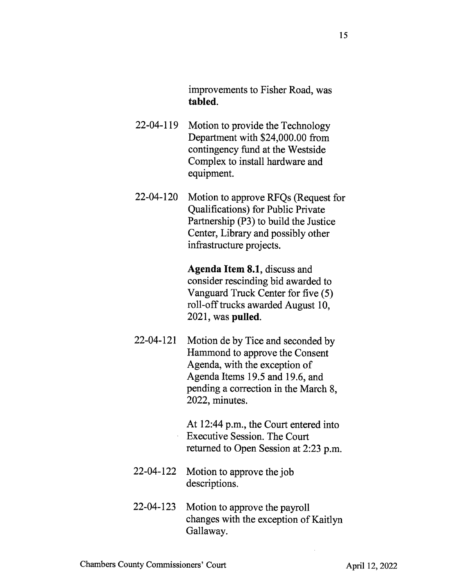improvements to Fisher Road, was tabled.

- 22-04-119 Motion to provide the Technology Department with \$24,000.00 from contingency fund at the Westside Complex to install hardware and equipment.
- 22-04-120 Motion to approve RFQs (Request for Qualifications) for Public Private Partnership (P3) to build the Justice Center, Library and possibly other infrastructure projects.

Agenda Item 8.1, discuss and consider rescinding bid awarded to Vanguard Truck Center for five (5) roll-off trucks awarded August 10, 2021, was pulled.

22-04-121 Motion de by Tice and seconded by Hammond to approve the Consent Agenda, with the exception of Agenda Items 19.5 and 19.6, and pending a correction in the March 8, 2022, minutes.

> At 12:44 p.m., the Court entered into Executive Session. The Court returned to Open Session at 2:23 p.m.

- 22-04-122 Motion to approve the job descriptions.
- 22-04-123 Motion to approve the payroll changes with the exception of Kaitlyn Gallaway.